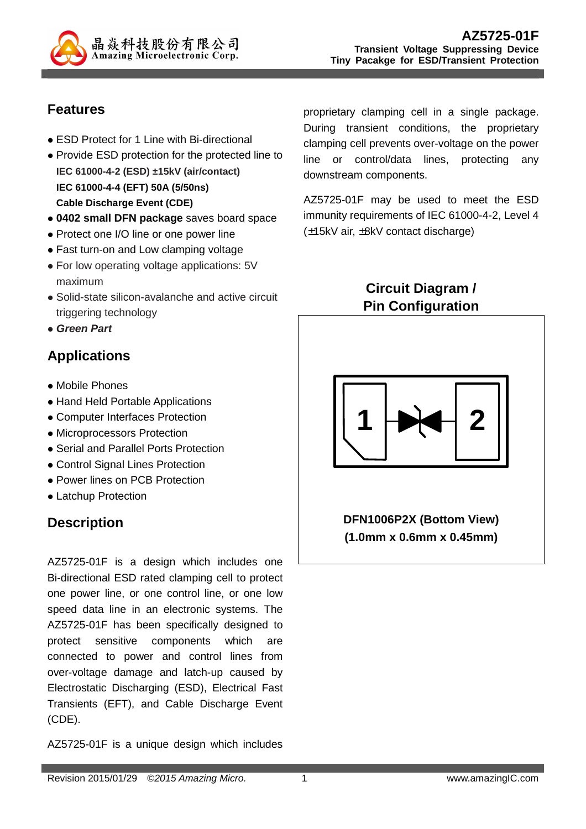

# **Features**

- ESD Protect for 1 Line with Bi-directional
- Provide ESD protection for the protected line to **IEC 61000-4-2 (ESD) ±15kV (air/contact) IEC 61000-4-4 (EFT) 50A (5/50ns) Cable Discharge Event (CDE)**
- **0402 small DFN package** saves board space
- Protect one I/O line or one power line
- Fast turn-on and Low clamping voltage
- For low operating voltage applications: 5V maximum
- Solid-state silicon-avalanche and active circuit triggering technology
- **Green Part**

# **Applications**

- Mobile Phones
- Hand Held Portable Applications
- Computer Interfaces Protection
- Microprocessors Protection
- Serial and Parallel Ports Protection
- Control Signal Lines Protection
- Power lines on PCB Protection
- Latchup Protection

## **Description**

AZ5725-01F is a design which includes one Bi-directional ESD rated clamping cell to protect one power line, or one control line, or one low speed data line in an electronic systems. The AZ5725-01F has been specifically designed to protect sensitive components which are connected to power and control lines from over-voltage damage and latch-up caused by Electrostatic Discharging (ESD), Electrical Fast Transients (EFT), and Cable Discharge Event (CDE).

AZ5725-01F is a unique design which includes

proprietary clamping cell in a single package. During transient conditions, the proprietary clamping cell prevents over-voltage on the power line or control/data lines, protecting any downstream components.

AZ5725-01F may be used to meet the ESD immunity requirements of IEC 61000-4-2, Level 4 (±15kV air, ±8kV contact discharge)

> **Circuit Diagram / Pin Configuration**



**DFN1006P2X (Bottom View) (1.0mm x 0.6mm x 0.45mm)**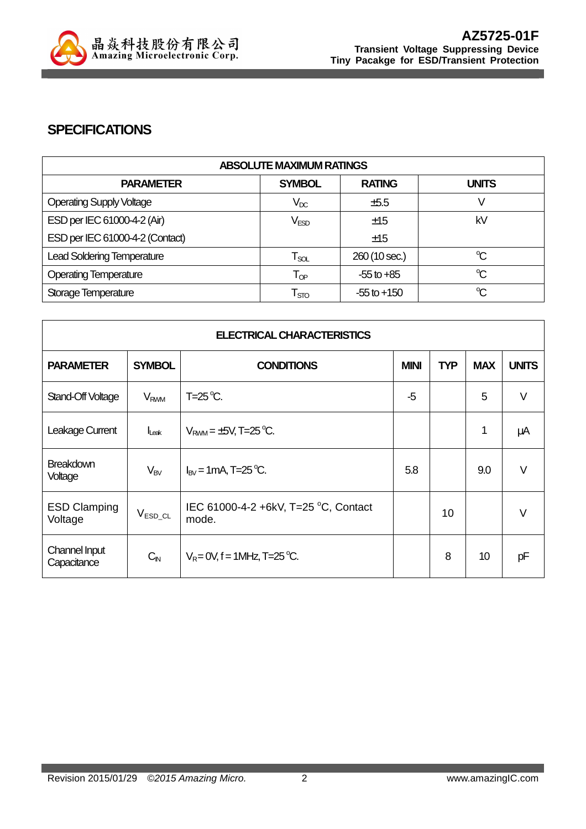

### **SPECIFICATIONS**

| <b>ABSOLUTE MAXIMUM RATINGS</b>   |                             |                 |                      |
|-----------------------------------|-----------------------------|-----------------|----------------------|
| <b>PARAMETER</b>                  | <b>SYMBOL</b>               | <b>RATING</b>   | <b>UNITS</b>         |
| <b>Operating Supply Voltage</b>   | $V_{DC}$                    | ±5.5            |                      |
| ESD per IEC 61000-4-2 (Air)       | $\mathsf{V}_{\mathsf{ESD}}$ | ±15             | kV                   |
| ESD per IEC 61000-4-2 (Contact)   |                             | ±15             |                      |
| <b>Lead Soldering Temperature</b> | $\mathsf{T}_{\mathsf{SOL}}$ | 260 (10 sec.)   | $\mathrm{C}^{\circ}$ |
| <b>Operating Temperature</b>      | $\mathsf{T}_{\textsf{OP}}$  | $-55$ to $+85$  | $\mathrm{C}$         |
| Storage Temperature               | $\mathsf{T}_{\text{STO}}$   | $-55$ to $+150$ | $\mathrm{C}$         |

| <b>ELECTRICAL CHARACTERISTICS</b> |                        |                                               |             |            |            |              |
|-----------------------------------|------------------------|-----------------------------------------------|-------------|------------|------------|--------------|
| <b>PARAMETER</b>                  | <b>SYMBOL</b>          | <b>CONDITIONS</b>                             | <b>MINI</b> | <b>TYP</b> | <b>MAX</b> | <b>UNITS</b> |
| Stand-Off Voltage                 | <b>V<sub>RWM</sub></b> | $T=25^{\circ}C$ .                             | -5          |            | 5          | $\vee$       |
| Leakage Current                   | $l_{\text{Leak}}$      | $V_{RWM} = \pm 5V$ , T=25 °C.                 |             |            | 1          | μA           |
| <b>Breakdown</b><br>Voltage       | $V_{BV}$               | $I_{BV}$ = 1 mA, T=25 °C.                     | 5.8         |            | 9.0        | $\vee$       |
| <b>ESD Clamping</b><br>Voltage    | $V_{ESD\_CL}$          | IEC 61000-4-2 +6kV, T=25 °C, Contact<br>mode. |             | 10         |            | $\vee$       |
| Channel Input<br>Capacitance      | $C_{\text{IN}}$        | $V_R = 0V$ , f = 1MHz, T=25 °C.               |             | 8          | 10         | pF           |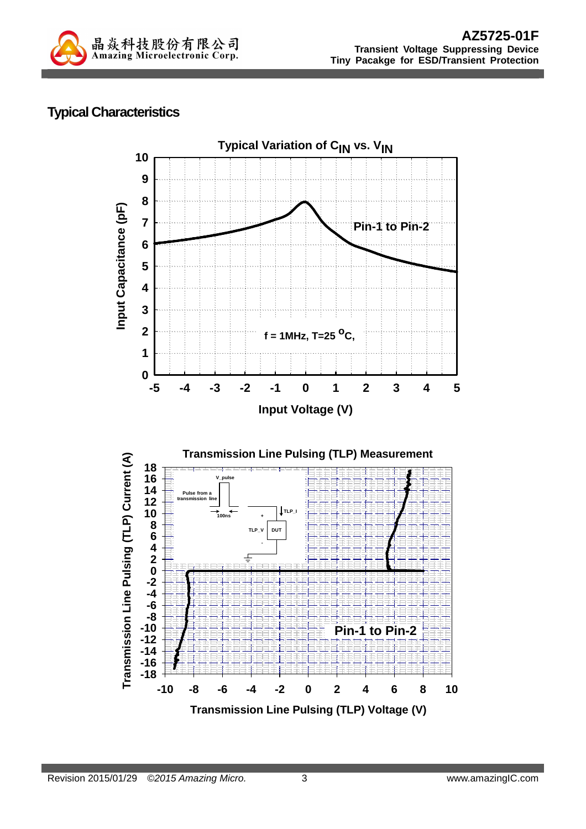

# **Typical Characteristics**

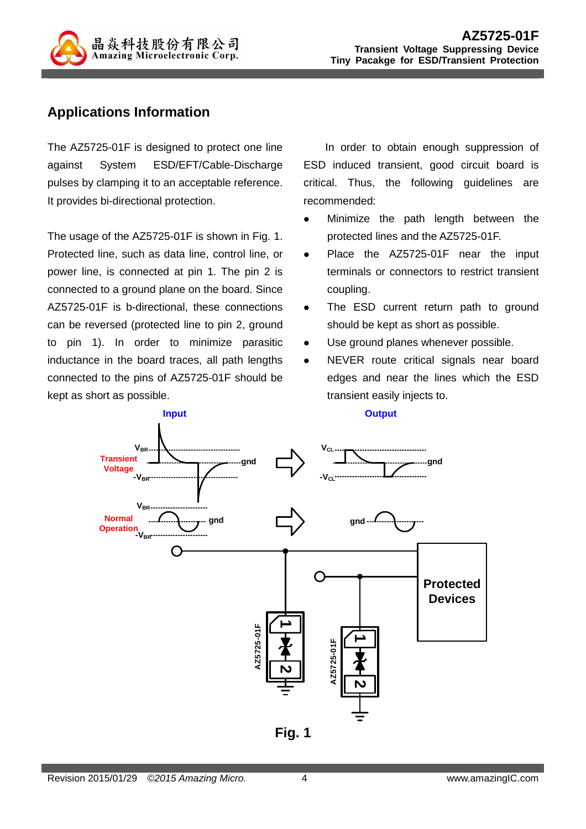

## **Applications Information**

The AZ5725-01F is designed to protect one line against System ESD/EFT/Cable-Discharge pulses by clamping it to an acceptable reference. It provides bi-directional protection.

The usage of the AZ5725-01F is shown in Fig. 1. Protected line, such as data line, control line, or power line, is connected at pin 1. The pin 2 is connected to a ground plane on the board. Since AZ5725-01F is b-directional, these connections can be reversed (protected line to pin 2, ground to pin 1). In order to minimize parasitic inductance in the board traces, all path lengths connected to the pins of AZ5725-01F should be kept as short as possible.

In order to obtain enough suppression of ESD induced transient, good circuit board is critical. Thus, the following guidelines are recommended:

- Minimize the path length between the protected lines and the AZ5725-01F.
- Place the AZ5725-01F near the input terminals or connectors to restrict transient coupling.
- The ESD current return path to ground should be kept as short as possible.
- Use ground planes whenever possible.
- NEVER route critical signals near board edges and near the lines which the ESD transient easily injects to.



**Fig. 1**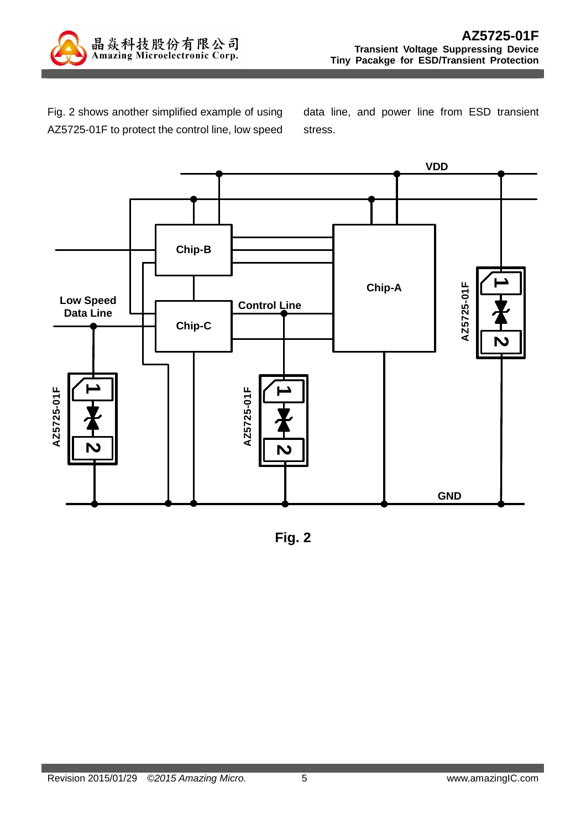

Fig. 2 shows another simplified example of using AZ5725-01F to protect the control line, low speed

data line, and power line from ESD transient stress.



**Fig. 2**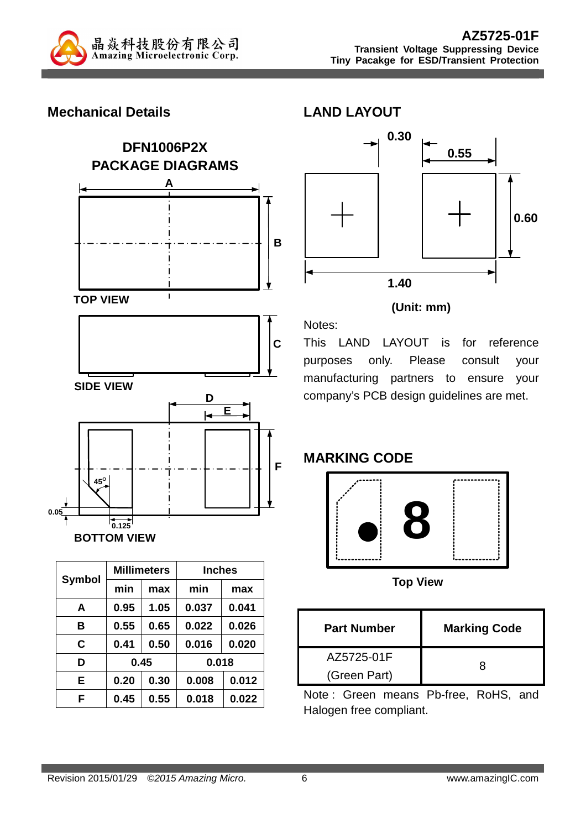

### **Mechanical Details**





|               |      | <b>Millimeters</b><br><b>Inches</b> |       |       |
|---------------|------|-------------------------------------|-------|-------|
| <b>Symbol</b> | min  | max                                 | min   | max   |
| A             | 0.95 | 1.05                                | 0.037 | 0.041 |
| в             | 0.55 | 0.65                                | 0.022 | 0.026 |
| C             | 0.41 | 0.50                                | 0.016 | 0.020 |
| D             | 0.45 |                                     | 0.018 |       |
| E             | 0.20 | 0.30                                | 0.008 | 0.012 |
| F             | 0.45 | 0.55                                | 0.018 | 0.022 |



#### **(Unit: mm)**

This LAND LAYOUT is for reference purposes only. Please consult your manufacturing partners to ensure your company's PCB design guidelines are met.

#### **MARKING CODE**

Notes:



**Top View** 

| <b>Part Number</b> | <b>Marking Code</b> |
|--------------------|---------------------|
| AZ5725-01F         |                     |
| (Green Part)       |                     |

Note : Green means Pb-free, RoHS, and Halogen free compliant.